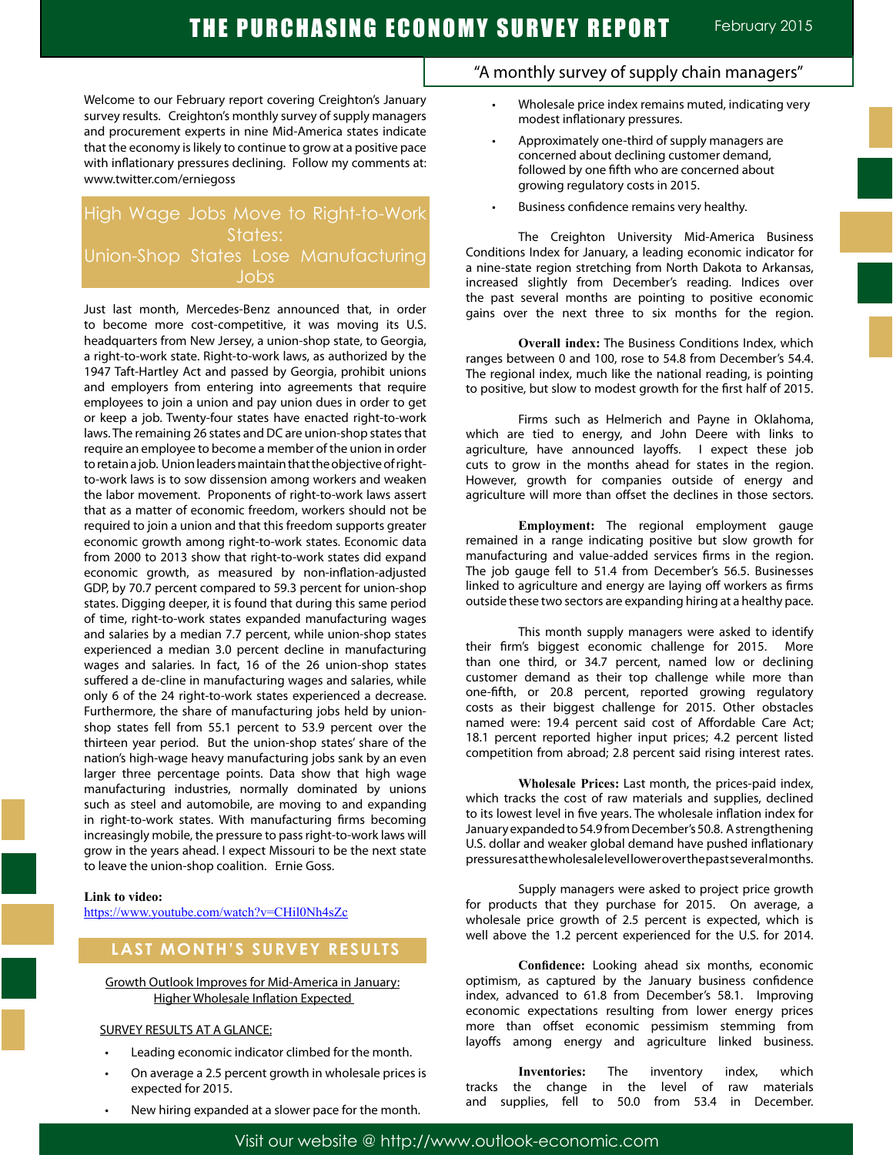Welcome to our February report covering Creighton's January survey results. Creighton's monthly survey of supply managers and procurement experts in nine Mid-America states indicate that the economy is likely to continue to grow at a positive pace with inflationary pressures declining. Follow my comments at: www.twitter.com/erniegoss

# High Wage Jobs Move to Right-to-Work States: Union-Shop States Lose Manufacturing Jobs

Just last month, Mercedes-Benz announced that, in order to become more cost-competitive, it was moving its U.S. headquarters from New Jersey, a union-shop state, to Georgia, a right-to-work state. Right-to-work laws, as authorized by the 1947 Taft-Hartley Act and passed by Georgia, prohibit unions and employers from entering into agreements that require employees to join a union and pay union dues in order to get or keep a job. Twenty-four states have enacted right-to-work laws. The remaining 26 states and DC are union-shop states that require an employee to become a member of the union in order to retain a job. Union leaders maintain that the objective of rightto-work laws is to sow dissension among workers and weaken the labor movement. Proponents of right-to-work laws assert that as a matter of economic freedom, workers should not be required to join a union and that this freedom supports greater economic growth among right-to-work states. Economic data from 2000 to 2013 show that right-to-work states did expand economic growth, as measured by non-inflation-adjusted GDP, by 70.7 percent compared to 59.3 percent for union-shop states. Digging deeper, it is found that during this same period of time, right-to-work states expanded manufacturing wages and salaries by a median 7.7 percent, while union-shop states experienced a median 3.0 percent decline in manufacturing wages and salaries. In fact, 16 of the 26 union-shop states suffered a de-cline in manufacturing wages and salaries, while only 6 of the 24 right-to-work states experienced a decrease. Furthermore, the share of manufacturing jobs held by unionshop states fell from 55.1 percent to 53.9 percent over the thirteen year period. But the union-shop states' share of the nation's high-wage heavy manufacturing jobs sank by an even larger three percentage points. Data show that high wage manufacturing industries, normally dominated by unions such as steel and automobile, are moving to and expanding in right-to-work states. With manufacturing firms becoming increasingly mobile, the pressure to pass right-to-work laws will grow in the years ahead. I expect Missouri to be the next state to leave the union-shop coalition. Ernie Goss.

#### **Link to video:**

https://www.youtube.com/watch?v=CHil0Nh4sZc

# **LAST MONTH'S SURVEY RESULTS**

Growth Outlook Improves for Mid-America in January: Higher Wholesale Inflation Expected

#### SURVEY RESULTS AT A GLANCE:

- Leading economic indicator climbed for the month.
- On average a 2.5 percent growth in wholesale prices is expected for 2015.
- New hiring expanded at a slower pace for the month.

# "A monthly survey of supply chain managers"

- Wholesale price index remains muted, indicating very modest inflationary pressures.
- Approximately one-third of supply managers are concerned about declining customer demand, followed by one fifth who are concerned about growing regulatory costs in 2015.
- Business confidence remains very healthy.

The Creighton University Mid-America Business Conditions Index for January, a leading economic indicator for a nine-state region stretching from North Dakota to Arkansas, increased slightly from December's reading. Indices over the past several months are pointing to positive economic gains over the next three to six months for the region.

**Overall index:** The Business Conditions Index, which ranges between 0 and 100, rose to 54.8 from December's 54.4. The regional index, much like the national reading, is pointing to positive, but slow to modest growth for the first half of 2015.

Firms such as Helmerich and Payne in Oklahoma, which are tied to energy, and John Deere with links to agriculture, have announced layoffs. I expect these job cuts to grow in the months ahead for states in the region. However, growth for companies outside of energy and agriculture will more than offset the declines in those sectors.

**Employment:** The regional employment gauge remained in a range indicating positive but slow growth for manufacturing and value-added services firms in the region. The job gauge fell to 51.4 from December's 56.5. Businesses linked to agriculture and energy are laying off workers as firms outside these two sectors are expanding hiring at a healthy pace.

This month supply managers were asked to identify their firm's biggest economic challenge for 2015. More than one third, or 34.7 percent, named low or declining customer demand as their top challenge while more than one-fifth, or 20.8 percent, reported growing regulatory costs as their biggest challenge for 2015. Other obstacles named were: 19.4 percent said cost of Affordable Care Act; 18.1 percent reported higher input prices; 4.2 percent listed competition from abroad; 2.8 percent said rising interest rates.

**Wholesale Prices:** Last month, the prices-paid index, which tracks the cost of raw materials and supplies, declined to its lowest level in five years. The wholesale inflation index for January expanded to 54.9 from December's 50.8. A strengthening U.S. dollar and weaker global demand have pushed inflationary pressures at the wholesale level lower over the past several months.

Supply managers were asked to project price growth for products that they purchase for 2015. On average, a wholesale price growth of 2.5 percent is expected, which is well above the 1.2 percent experienced for the U.S. for 2014.

**Confidence:** Looking ahead six months, economic optimism, as captured by the January business confidence index, advanced to 61.8 from December's 58.1. Improving economic expectations resulting from lower energy prices more than offset economic pessimism stemming from layoffs among energy and agriculture linked business.

**Inventories:** The inventory index, which tracks the change in the level of raw materials and supplies, fell to 50.0 from 53.4 in December.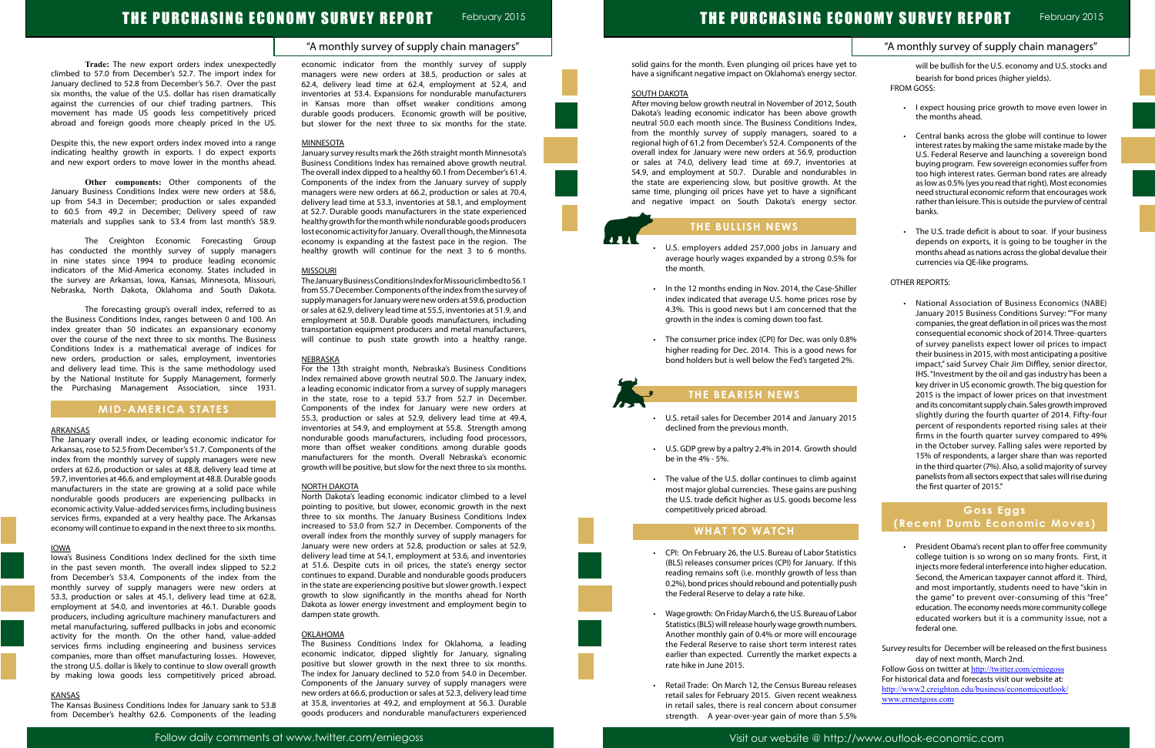### "A monthly survey of supply chain managers"

# THE PURCHASING ECONOMY SURVEY REPORT February 2015

**Trade:** The new export orders index unexpectedly climbed to 57.0 from December's 52.7. The import index for January declined to 52.8 from December's 56.7. Over the past six months, the value of the U.S. dollar has risen dramatically against the currencies of our chief trading partners. This movement has made US goods less competitively priced abroad and foreign goods more cheaply priced in the US.

Despite this, the new export orders index moved into a range indicating healthy growth in exports. I do expect exports and new export orders to move lower in the months ahead.

**Other components:** Other components of the January Business Conditions Index were new orders at 58.6, up from 54.3 in December; production or sales expanded to 60.5 from 49.2 in December; Delivery speed of raw materials and supplies sank to 53.4 from last month's 58.9.

The Creighton Economic Forecasting Group has conducted the monthly survey of supply managers in nine states since 1994 to produce leading economic indicators of the Mid-America economy. States included in the survey are Arkansas, Iowa, Kansas, Minnesota, Missouri, Nebraska, North Dakota, Oklahoma and South Dakota.

The forecasting group's overall index, referred to as the Business Conditions Index, ranges between 0 and 100. An index greater than 50 indicates an expansionary economy over the course of the next three to six months. The Business Conditions Index is a mathematical average of indices for new orders, production or sales, employment, inventories and delivery lead time. This is the same methodology used by the National Institute for Supply Management, formerly the Purchasing Management Association, since 1931.

### **MID-AMERICA STATES**

#### **ARKANSAS**

The January overall index, or leading economic indicator for Arkansas, rose to 52.5 from December's 51.7. Components of the index from the monthly survey of supply managers were new orders at 62.6, production or sales at 48.8, delivery lead time at 59.7, inventories at 46.6, and employment at 48.8. Durable goods manufacturers in the state are growing at a solid pace while nondurable goods producers are experiencing pullbacks in economic activity. Value-added services firms, including business services firms, expanded at a very healthy pace. The Arkansas economy will continue to expand in the next three to six months.

#### IOWA

Iowa's Business Conditions Index declined for the sixth time in the past seven month. The overall index slipped to 52.2 from December's 53.4. Components of the index from the monthly survey of supply managers were new orders at 53.3, production or sales at 45.1, delivery lead time at 62.8, employment at 54.0, and inventories at 46.1. Durable goods producers, including agriculture machinery manufacturers and metal manufacturing, suffered pullbacks in jobs and economic activity for the month. On the other hand, value-added services firms including engineering and business services companies, more than offset manufacturing losses. However, the strong U.S. dollar is likely to continue to slow overall growth by making Iowa goods less competitively priced abroad.

#### KANSAS

The Kansas Business Conditions Index for January sank to 53.8 from December's healthy 62.6. Components of the leading economic indicator from the monthly survey of supply managers were new orders at 38.5, production or sales at 62.4, delivery lead time at 62.4, employment at 52.4, and inventories at 53.4. Expansions for nondurable manufacturers in Kansas more than offset weaker conditions among durable goods producers. Economic growth will be positive, but slower for the next three to six months for the state.

#### MINNESOTA

January survey results mark the 26th straight month Minnesota's Business Conditions Index has remained above growth neutral. The overall index dipped to a healthy 60.1 from December's 61.4. Components of the index from the January survey of supply managers were new orders at 66.2, production or sales at 70.4, delivery lead time at 53.3, inventories at 58.1, and employment at 52.7. Durable goods manufacturers in the state experienced healthy growth for the month while nondurable goods producers lost economic activity for January. Overall though, the Minnesota economy is expanding at the fastest pace in the region. The healthy growth will continue for the next 3 to 6 months.

#### **MISSOURI**

- U.S. retail sales for December 2014 and January 20 declined from the previous month.
- U.S. GDP grew by a paltry 2.4% in 2014. Growth should be in the 4% - 5%.
- The value of the U.S. dollar continues to climb against most major global currencies. These gains are pushi the U.S. trade deficit higher as U.S. goods become competitively priced abroad.

The January Business Conditions Index for Missouri climbed to 56.1 from 55.7 December. Components of the index from the survey of supply managers for January were new orders at 59.6, production or sales at 62.9, delivery lead time at 55.5, inventories at 51.9, and employment at 50.8. Durable goods manufacturers, including transportation equipment producers and metal manufacturers, will continue to push state growth into a healthy range.

#### NEBRASKA

For the 13th straight month, Nebraska's Business Conditions Index remained above growth neutral 50.0. The January index, a leading economic indicator from a survey of supply managers in the state, rose to a tepid 53.7 from 52.7 in December. Components of the index for January were new orders at 55.3, production or sales at 52.9, delivery lead time at 49.4, inventories at 54.9, and employment at 55.8. Strength among nondurable goods manufacturers, including food processors, more than offset weaker conditions among durable goods manufacturers for the month. Overall Nebraska's economic growth will be positive, but slow for the next three to six months.

#### NORTH DAKOTA

| t to<br>will be bullish for the U.S. economy and U.S. stocks and<br>tor.<br>bearish for bond prices (higher yields).<br><b>FROM GOSS:</b><br>uth<br>I expect housing price growth to move even lower in<br>vth<br>the months ahead.<br>lex,<br>эa<br>Central banks across the globe will continue to lower<br>$\bullet$<br>the<br>interest rates by making the same mistake made by the<br>ion<br>U.S. Federal Reserve and launching a sovereign bond<br>at<br>buying program. Few sovereign economies suffer from<br>; in<br>too high interest rates. German bond rates are already<br>the<br>as low as 0.5% (yes you read that right). Most economies<br>ant<br>need structural economic reform that encourages work<br>rather than leisure. This is outside the purview of central<br>tor.<br>banks.<br>The U.S. trade deficit is about to soar. If your business<br>$\bullet$<br>depends on exports, it is going to be tougher in the<br>ınd<br>months ahead as nations across the global devalue their<br>for<br>currencies via QE-like programs.<br>OTHER REPORTS:<br>ller<br>by<br>National Association of Business Economics (NABE)<br>the<br>January 2015 Business Conditions Survey: ""For many<br>companies, the great deflation in oil prices was the most<br>consequential economic shock of 2014. Three-quarters<br>8%<br>of survey panelists expect lower oil prices to impact<br>for<br>their business in 2015, with most anticipating a positive<br>%.<br>impact," said Survey Chair Jim Diffley, senior director,<br>IHS. "Investment by the oil and gas industry has been a<br>key driver in US economic growth. The big question for<br>2015 is the impact of lower prices on that investment<br>and its concomitant supply chain. Sales growth improved<br>slightly during the fourth quarter of 2014. Fifty-four<br>)15<br>percent of respondents reported rising sales at their<br>firms in the fourth quarter survey compared to 49%<br>in the October survey. Falling sales were reported by<br>uld<br>15% of respondents, a larger share than was reported<br>in the third quarter (7%). Also, a solid majority of survey<br>panelists from all sectors expect that sales will rise during<br>nst<br>the first quarter of 2015."<br>ing<br>ess<br><b>Goss Eggs</b><br>(Recent Dumb Economic Moves)<br>President Obama's recent plan to offer free community<br>tics<br>college tuition is so wrong on so many fronts. First, it<br>this<br>injects more federal interference into higher education.<br>าan<br>Second, the American taxpayer cannot afford it. Third,<br>ush<br>and most importantly, students need to have "skin in<br>the game" to prevent over-consuming of this "free"<br>education. The economy needs more community college<br>bor<br>educated workers but it is a community issue, not a<br>ers.<br>federal one.<br>age<br>ıtes<br>Survey results for December will be released on the first business<br>ts a<br>day of next month, March 2nd.<br>Follow Goss on twitter at http://twitter.com/erniegoss<br>For historical data and forecasts visit our website at:<br>ses<br>http://www2.creighton.edu/business/economicoutlook/<br>ess<br>www.ernestgoss.com<br>ner | "A monthly survey of supply chain managers" |  |
|-----------------------------------------------------------------------------------------------------------------------------------------------------------------------------------------------------------------------------------------------------------------------------------------------------------------------------------------------------------------------------------------------------------------------------------------------------------------------------------------------------------------------------------------------------------------------------------------------------------------------------------------------------------------------------------------------------------------------------------------------------------------------------------------------------------------------------------------------------------------------------------------------------------------------------------------------------------------------------------------------------------------------------------------------------------------------------------------------------------------------------------------------------------------------------------------------------------------------------------------------------------------------------------------------------------------------------------------------------------------------------------------------------------------------------------------------------------------------------------------------------------------------------------------------------------------------------------------------------------------------------------------------------------------------------------------------------------------------------------------------------------------------------------------------------------------------------------------------------------------------------------------------------------------------------------------------------------------------------------------------------------------------------------------------------------------------------------------------------------------------------------------------------------------------------------------------------------------------------------------------------------------------------------------------------------------------------------------------------------------------------------------------------------------------------------------------------------------------------------------------------------------------------------------------------------------------------------------------------------------------------------------------------------------------------------------------------------------------------------------------------------------------------------------------------------------------------------------------------------------------------------------------------------------------------------------------------------------------------------------------------------------------------------------------------------------------------------------------------------------------------------------------------------------------------------------------------------------------|---------------------------------------------|--|
|                                                                                                                                                                                                                                                                                                                                                                                                                                                                                                                                                                                                                                                                                                                                                                                                                                                                                                                                                                                                                                                                                                                                                                                                                                                                                                                                                                                                                                                                                                                                                                                                                                                                                                                                                                                                                                                                                                                                                                                                                                                                                                                                                                                                                                                                                                                                                                                                                                                                                                                                                                                                                                                                                                                                                                                                                                                                                                                                                                                                                                                                                                                                                                                                                       |                                             |  |
|                                                                                                                                                                                                                                                                                                                                                                                                                                                                                                                                                                                                                                                                                                                                                                                                                                                                                                                                                                                                                                                                                                                                                                                                                                                                                                                                                                                                                                                                                                                                                                                                                                                                                                                                                                                                                                                                                                                                                                                                                                                                                                                                                                                                                                                                                                                                                                                                                                                                                                                                                                                                                                                                                                                                                                                                                                                                                                                                                                                                                                                                                                                                                                                                                       |                                             |  |
|                                                                                                                                                                                                                                                                                                                                                                                                                                                                                                                                                                                                                                                                                                                                                                                                                                                                                                                                                                                                                                                                                                                                                                                                                                                                                                                                                                                                                                                                                                                                                                                                                                                                                                                                                                                                                                                                                                                                                                                                                                                                                                                                                                                                                                                                                                                                                                                                                                                                                                                                                                                                                                                                                                                                                                                                                                                                                                                                                                                                                                                                                                                                                                                                                       |                                             |  |
|                                                                                                                                                                                                                                                                                                                                                                                                                                                                                                                                                                                                                                                                                                                                                                                                                                                                                                                                                                                                                                                                                                                                                                                                                                                                                                                                                                                                                                                                                                                                                                                                                                                                                                                                                                                                                                                                                                                                                                                                                                                                                                                                                                                                                                                                                                                                                                                                                                                                                                                                                                                                                                                                                                                                                                                                                                                                                                                                                                                                                                                                                                                                                                                                                       |                                             |  |
|                                                                                                                                                                                                                                                                                                                                                                                                                                                                                                                                                                                                                                                                                                                                                                                                                                                                                                                                                                                                                                                                                                                                                                                                                                                                                                                                                                                                                                                                                                                                                                                                                                                                                                                                                                                                                                                                                                                                                                                                                                                                                                                                                                                                                                                                                                                                                                                                                                                                                                                                                                                                                                                                                                                                                                                                                                                                                                                                                                                                                                                                                                                                                                                                                       |                                             |  |
|                                                                                                                                                                                                                                                                                                                                                                                                                                                                                                                                                                                                                                                                                                                                                                                                                                                                                                                                                                                                                                                                                                                                                                                                                                                                                                                                                                                                                                                                                                                                                                                                                                                                                                                                                                                                                                                                                                                                                                                                                                                                                                                                                                                                                                                                                                                                                                                                                                                                                                                                                                                                                                                                                                                                                                                                                                                                                                                                                                                                                                                                                                                                                                                                                       |                                             |  |
|                                                                                                                                                                                                                                                                                                                                                                                                                                                                                                                                                                                                                                                                                                                                                                                                                                                                                                                                                                                                                                                                                                                                                                                                                                                                                                                                                                                                                                                                                                                                                                                                                                                                                                                                                                                                                                                                                                                                                                                                                                                                                                                                                                                                                                                                                                                                                                                                                                                                                                                                                                                                                                                                                                                                                                                                                                                                                                                                                                                                                                                                                                                                                                                                                       |                                             |  |
|                                                                                                                                                                                                                                                                                                                                                                                                                                                                                                                                                                                                                                                                                                                                                                                                                                                                                                                                                                                                                                                                                                                                                                                                                                                                                                                                                                                                                                                                                                                                                                                                                                                                                                                                                                                                                                                                                                                                                                                                                                                                                                                                                                                                                                                                                                                                                                                                                                                                                                                                                                                                                                                                                                                                                                                                                                                                                                                                                                                                                                                                                                                                                                                                                       |                                             |  |
|                                                                                                                                                                                                                                                                                                                                                                                                                                                                                                                                                                                                                                                                                                                                                                                                                                                                                                                                                                                                                                                                                                                                                                                                                                                                                                                                                                                                                                                                                                                                                                                                                                                                                                                                                                                                                                                                                                                                                                                                                                                                                                                                                                                                                                                                                                                                                                                                                                                                                                                                                                                                                                                                                                                                                                                                                                                                                                                                                                                                                                                                                                                                                                                                                       |                                             |  |
|                                                                                                                                                                                                                                                                                                                                                                                                                                                                                                                                                                                                                                                                                                                                                                                                                                                                                                                                                                                                                                                                                                                                                                                                                                                                                                                                                                                                                                                                                                                                                                                                                                                                                                                                                                                                                                                                                                                                                                                                                                                                                                                                                                                                                                                                                                                                                                                                                                                                                                                                                                                                                                                                                                                                                                                                                                                                                                                                                                                                                                                                                                                                                                                                                       |                                             |  |
|                                                                                                                                                                                                                                                                                                                                                                                                                                                                                                                                                                                                                                                                                                                                                                                                                                                                                                                                                                                                                                                                                                                                                                                                                                                                                                                                                                                                                                                                                                                                                                                                                                                                                                                                                                                                                                                                                                                                                                                                                                                                                                                                                                                                                                                                                                                                                                                                                                                                                                                                                                                                                                                                                                                                                                                                                                                                                                                                                                                                                                                                                                                                                                                                                       |                                             |  |
|                                                                                                                                                                                                                                                                                                                                                                                                                                                                                                                                                                                                                                                                                                                                                                                                                                                                                                                                                                                                                                                                                                                                                                                                                                                                                                                                                                                                                                                                                                                                                                                                                                                                                                                                                                                                                                                                                                                                                                                                                                                                                                                                                                                                                                                                                                                                                                                                                                                                                                                                                                                                                                                                                                                                                                                                                                                                                                                                                                                                                                                                                                                                                                                                                       |                                             |  |
| 5%                                                                                                                                                                                                                                                                                                                                                                                                                                                                                                                                                                                                                                                                                                                                                                                                                                                                                                                                                                                                                                                                                                                                                                                                                                                                                                                                                                                                                                                                                                                                                                                                                                                                                                                                                                                                                                                                                                                                                                                                                                                                                                                                                                                                                                                                                                                                                                                                                                                                                                                                                                                                                                                                                                                                                                                                                                                                                                                                                                                                                                                                                                                                                                                                                    |                                             |  |

North Dakota's leading economic indicator climbed to a level pointing to positive, but slower, economic growth in the next three to six months. The January Business Conditions Index increased to 53.0 from 52.7 in December. Components of the overall index from the monthly survey of supply managers for January were new orders at 52.8, production or sales at 52.9, delivery lead time at 54.1, employment at 53.6, and inventories at 51.6. Despite cuts in oil prices, the state's energy sector continues to expand. Durable and nondurable goods producers in the state are experiencing positive but slower growth. I expect growth to slow significantly in the months ahead for North Dakota as lower energy investment and employment begin to dampen state growth.

#### **OKLAHOMA**

The Business Conditions Index for Oklahoma, a leading economic indicator, dipped slightly for January, signaling positive but slower growth in the next three to six months. The index for January declined to 52.0 from 54.0 in December. Components of the January survey of supply managers were new orders at 66.6, production or sales at 52.3, delivery lead time at 35.8, inventories at 49.2, and employment at 56.3. Durable goods producers and nondurable manufacturers experienced

solid gains for the month. Even plunging oil prices have yet have a significant negative impact on Oklahoma's energy sector.

#### SOUTH DAKOTA

After moving below growth neutral in November of 2012, Sou Dakota's leading economic indicator has been above grov neutral 50.0 each month since. The Business Conditions Ind from the monthly survey of supply managers, soared to regional high of 61.2 from December's 52.4. Components of overall index for January were new orders at 56.9, producti or sales at 74.0, delivery lead time at 69.7, inventories 54.9, and employment at 50.7. Durable and nondurables the state are experiencing slow, but positive growth. At same time, plunging oil prices have yet to have a significant and negative impact on South Dakota's energy sect

# **THE BULLISH NEWS**

- U.S. employers added 257,000 jobs in January a average hourly wages expanded by a strong 0.5% the month.
- In the 12 months ending in Nov. 2014, the Case-Shiller index indicated that average U.S. home prices rose 4.3%. This is good news but I am concerned that growth in the index is coming down too fast.
- The consumer price index (CPI) for Dec. was only 0. higher reading for Dec. 2014. This is a good news bond holders but is well below the Fed's targeted 2%

# **THE BEARISH NEWS**

## **WHAT TO WATCH**

ľ

- CPI: On February 26, the U.S. Bureau of Labor Statist (BLS) releases consumer prices (CPI) for January. If the reading remains soft (i.e. monthly growth of less than 0.2%), bond prices should rebound and potentially pu the Federal Reserve to delay a rate hike.
- Wage growth: On Friday March 6, the U.S. Bureau of Labor Statistics (BLS) will release hourly wage growth number Another monthly gain of 0.4% or more will encoura the Federal Reserve to raise short term interest rates earlier than expected. Currently the market expect rate hike in June 2015.
- Retail Trade: On March 12, the Census Bureau releas retail sales for February 2015. Given recent weakne in retail sales, there is real concern about consun strength. A year-over-year gain of more than 5.